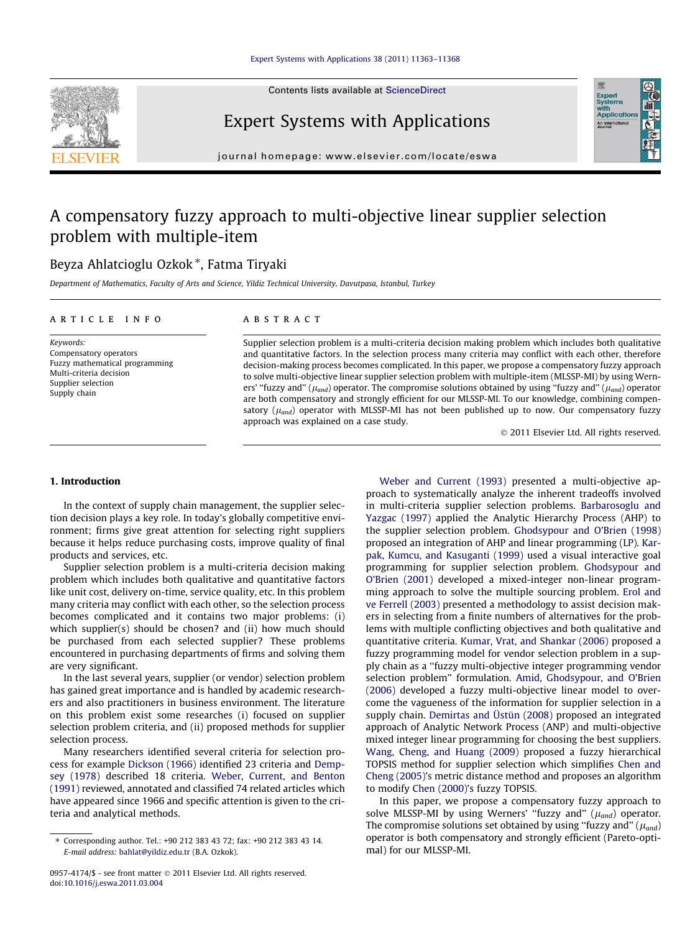

Contents lists available at [ScienceDirect](http://www.sciencedirect.com/science/journal/09574174)

## Expert Systems with Applications

journal homepage: [www.elsevier.com/locate/eswa](http://www.elsevier.com/locate/eswa)

## A compensatory fuzzy approach to multi-objective linear supplier selection problem with multiple-item

### Beyza Ahlatcioglu Ozkok\*, Fatma Tiryaki

Department of Mathematics, Faculty of Arts and Science, Yildiz Technical University, Davutpasa, Istanbul, Turkey

#### article info

Keywords: Compensatory operators Fuzzy mathematical programming Multi-criteria decision Supplier selection Supply chain

#### **ABSTRACT**

Supplier selection problem is a multi-criteria decision making problem which includes both qualitative and quantitative factors. In the selection process many criteria may conflict with each other, therefore decision-making process becomes complicated. In this paper, we propose a compensatory fuzzy approach to solve multi-objective linear supplier selection problem with multiple-item (MLSSP-MI) by using Werners' "fuzzy and" ( $\mu_{and}$ ) operator. The compromise solutions obtained by using "fuzzy and" ( $\mu_{and}$ ) operator are both compensatory and strongly efficient for our MLSSP-MI. To our knowledge, combining compensatory ( $\mu_{and}$ ) operator with MLSSP-MI has not been published up to now. Our compensatory fuzzy approach was explained on a case study.

- 2011 Elsevier Ltd. All rights reserved.

Expert<br>Systems<br>with<br>Applical

#### 1. Introduction

In the context of supply chain management, the supplier selection decision plays a key role. In today's globally competitive environment; firms give great attention for selecting right suppliers because it helps reduce purchasing costs, improve quality of final products and services, etc.

Supplier selection problem is a multi-criteria decision making problem which includes both qualitative and quantitative factors like unit cost, delivery on-time, service quality, etc. In this problem many criteria may conflict with each other, so the selection process becomes complicated and it contains two major problems: (i) which supplier(s) should be chosen? and (ii) how much should be purchased from each selected supplier? These problems encountered in purchasing departments of firms and solving them are very significant.

In the last several years, supplier (or vendor) selection problem has gained great importance and is handled by academic researchers and also practitioners in business environment. The literature on this problem exist some researches (i) focused on supplier selection problem criteria, and (ii) proposed methods for supplier selection process.

Many researchers identified several criteria for selection process for example [Dickson \(1966\)](#page--1-0) identified 23 criteria and [Demp](#page--1-0)[sey \(1978\)](#page--1-0) described 18 criteria. [Weber, Current, and Benton](#page--1-0) [\(1991\)](#page--1-0) reviewed, annotated and classified 74 related articles which have appeared since 1966 and specific attention is given to the criteria and analytical methods.

[Weber and Current \(1993\)](#page--1-0) presented a multi-objective approach to systematically analyze the inherent tradeoffs involved in multi-criteria supplier selection problems. [Barbarosoglu and](#page--1-0) [Yazgac \(1997\)](#page--1-0) applied the Analytic Hierarchy Process (AHP) to the supplier selection problem. [Ghodsypour and O'Brien \(1998\)](#page--1-0) proposed an integration of AHP and linear programming (LP). [Kar](#page--1-0)[pak, Kumcu, and Kasuganti \(1999\)](#page--1-0) used a visual interactive goal programming for supplier selection problem. [Ghodsypour and](#page--1-0) [O'Brien \(2001\)](#page--1-0) developed a mixed-integer non-linear programming approach to solve the multiple sourcing problem. [Erol and](#page--1-0) [ve Ferrell \(2003\)](#page--1-0) presented a methodology to assist decision makers in selecting from a finite numbers of alternatives for the problems with multiple conflicting objectives and both qualitative and quantitative criteria. [Kumar, Vrat, and Shankar \(2006\)](#page--1-0) proposed a fuzzy programming model for vendor selection problem in a supply chain as a ''fuzzy multi-objective integer programming vendor selection problem'' formulation. [Amid, Ghodsypour, and O'Brien](#page--1-0) [\(2006\)](#page--1-0) developed a fuzzy multi-objective linear model to overcome the vagueness of the information for supplier selection in a supply chain. [Demirtas and Üstün \(2008\)](#page--1-0) proposed an integrated approach of Analytic Network Process (ANP) and multi-objective mixed integer linear programming for choosing the best suppliers. [Wang, Cheng, and Huang \(2009\)](#page--1-0) proposed a fuzzy hierarchical TOPSIS method for supplier selection which simplifies [Chen and](#page--1-0) [Cheng \(2005\)](#page--1-0)'s metric distance method and proposes an algorithm to modify [Chen \(2000\)'](#page--1-0)s fuzzy TOPSIS.

In this paper, we propose a compensatory fuzzy approach to solve MLSSP-MI by using Werners' "fuzzy and"  $(\mu_{and})$  operator. The compromise solutions set obtained by using "fuzzy and" ( $\mu_{and}$ ) operator is both compensatory and strongly efficient (Pareto-optimal) for our MLSSP-MI.

<sup>⇑</sup> Corresponding author. Tel.: +90 212 383 43 72; fax: +90 212 383 43 14. E-mail address: [bahlat@yildiz.edu.tr](mailto:bahlat@yildiz.edu.tr) (B.A. Ozkok).

<sup>0957-4174/\$ -</sup> see front matter © 2011 Elsevier Ltd. All rights reserved. doi[:10.1016/j.eswa.2011.03.004](http://dx.doi.org/10.1016/j.eswa.2011.03.004)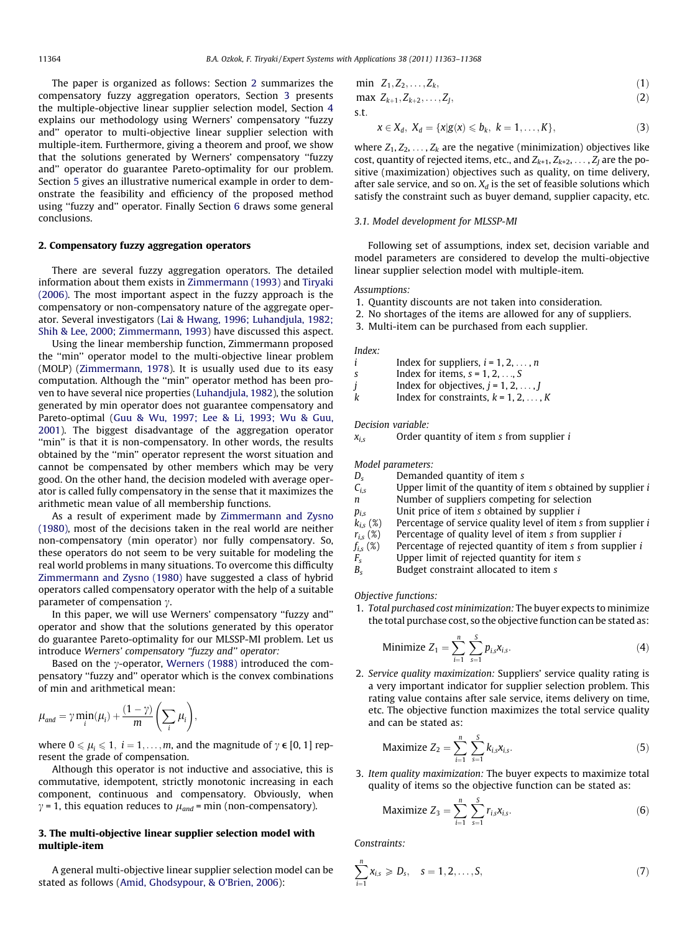The paper is organized as follows: Section 2 summarizes the compensatory fuzzy aggregation operators, Section 3 presents the multiple-objective linear supplier selection model, Section [4](#page--1-0) explains our methodology using Werners' compensatory ''fuzzy and'' operator to multi-objective linear supplier selection with multiple-item. Furthermore, giving a theorem and proof, we show that the solutions generated by Werners' compensatory ''fuzzy and'' operator do guarantee Pareto-optimality for our problem. Section [5](#page--1-0) gives an illustrative numerical example in order to demonstrate the feasibility and efficiency of the proposed method using ''fuzzy and'' operator. Finally Section [6](#page--1-0) draws some general conclusions.

#### 2. Compensatory fuzzy aggregation operators

There are several fuzzy aggregation operators. The detailed information about them exists in [Zimmermann \(1993\)](#page--1-0) and [Tiryaki](#page--1-0) [\(2006\).](#page--1-0) The most important aspect in the fuzzy approach is the compensatory or non-compensatory nature of the aggregate operator. Several investigators [\(Lai & Hwang, 1996; Luhandjula, 1982;](#page--1-0) [Shih & Lee, 2000; Zimmermann, 1993](#page--1-0)) have discussed this aspect.

Using the linear membership function, Zimmermann proposed the ''min'' operator model to the multi-objective linear problem (MOLP) ([Zimmermann, 1978](#page--1-0)). It is usually used due to its easy computation. Although the ''min'' operator method has been proven to have several nice properties [\(Luhandjula, 1982](#page--1-0)), the solution generated by min operator does not guarantee compensatory and Pareto-optimal ([Guu & Wu, 1997; Lee & Li, 1993; Wu & Guu,](#page--1-0) [2001\)](#page--1-0). The biggest disadvantage of the aggregation operator "min" is that it is non-compensatory. In other words, the results obtained by the ''min'' operator represent the worst situation and cannot be compensated by other members which may be very good. On the other hand, the decision modeled with average operator is called fully compensatory in the sense that it maximizes the arithmetic mean value of all membership functions.

As a result of experiment made by [Zimmermann and Zysno](#page--1-0) [\(1980\),](#page--1-0) most of the decisions taken in the real world are neither non-compensatory (min operator) nor fully compensatory. So, these operators do not seem to be very suitable for modeling the real world problems in many situations. To overcome this difficulty [Zimmermann and Zysno \(1980\)](#page--1-0) have suggested a class of hybrid operators called compensatory operator with the help of a suitable parameter of compensation  $\gamma$ .

In this paper, we will use Werners' compensatory ''fuzzy and'' operator and show that the solutions generated by this operator do guarantee Pareto-optimality for our MLSSP-MI problem. Let us introduce Werners' compensatory "fuzzy and" operator:

Based on the  $\gamma$ -operator, [Werners \(1988\)](#page--1-0) introduced the compensatory ''fuzzy and'' operator which is the convex combinations of min and arithmetical mean:

$$
\mu_{and} = \gamma \min_{i}(\mu_i) + \frac{(1-\gamma)}{m} \left( \sum_{i} \mu_i \right),
$$

where  $0 \le \mu_i \le 1$ ,  $i = 1, \ldots, m$ , and the magnitude of  $\gamma \in [0, 1]$  represent the grade of compensation.

Although this operator is not inductive and associative, this is commutative, idempotent, strictly monotonic increasing in each component, continuous and compensatory. Obviously, when  $\gamma$  = 1, this equation reduces to  $\mu_{and}$  = min (non-compensatory).

#### 3. The multi-objective linear supplier selection model with multiple-item

A general multi-objective linear supplier selection model can be stated as follows [\(Amid, Ghodsypour, & O'Brien, 2006](#page--1-0)):

$$
\min \; Z_1, Z_2, \ldots, Z_k,\tag{1}
$$

max  $Z_{k+1}, Z_{k+2}, \ldots, Z_J$ , (2)

s:t:

$$
x \in X_d, X_d = \{x | g(x) \leq b_k, k = 1, \ldots, K\},\tag{3}
$$

where  $Z_1, Z_2, \ldots, Z_k$  are the negative (minimization) objectives like cost, quantity of rejected items, etc., and  $Z_{k+1}, Z_{k+2}, \ldots, Z_{I}$  are the positive (maximization) objectives such as quality, on time delivery, after sale service, and so on.  $X_d$  is the set of feasible solutions which satisfy the constraint such as buyer demand, supplier capacity, etc.

#### 3.1. Model development for MLSSP-MI

Following set of assumptions, index set, decision variable and model parameters are considered to develop the multi-objective linear supplier selection model with multiple-item.

#### Assumptions:

- 1. Quantity discounts are not taken into consideration.
- 2. No shortages of the items are allowed for any of suppliers.
- 3. Multi-item can be purchased from each supplier.

Index:

i Index for suppliers,  $i = 1, 2, ..., n$ 

s Index for items,  $s = 1, 2, \ldots, S$ 

j Index for objectives,  $j = 1, 2, \dots, J$ 

k Index for constraints,  $k = 1, 2, ..., K$ 

Decision variable:

 $x_{i,s}$  Order quantity of item s from supplier i

Model parameters:

 $D_s$  Demanded quantity of item s

- $C_{i,s}$  Upper limit of the quantity of item s obtained by supplier i
- n Number of suppliers competing for selection
- 
- $p_{i,s}$  Unit price of item *s* obtained by supplier *i*  $k_{i,s}$  (%) Percentage of service quality level of item *s*  $k_{i,s}$  (%) Percentage of service quality level of item s from supplier *i*  $r_{i,s}$  (%) Percentage of quality level of item s from supplier *i*
- $r_{i,s}$  (%) Percentage of quality level of item s from supplier *i*  $f_{i,s}$  (%) Percentage of rejected quantity of item s from supp
- Percentage of rejected quantity of item  $s$  from supplier  $i$
- $F_s$  Upper limit of rejected quantity for item s
- $B_s$  Budget constraint allocated to item s

Objective functions:

1. Total purchased cost minimization: The buyer expects to minimize the total purchase cost, so the objective function can be stated as:

Minimize 
$$
Z_1 = \sum_{i=1}^{n} \sum_{s=1}^{S} p_{i,s} x_{i,s}.
$$
 (4)

2. Service quality maximization: Suppliers' service quality rating is a very important indicator for supplier selection problem. This rating value contains after sale service, items delivery on time, etc. The objective function maximizes the total service quality and can be stated as:

Maximize 
$$
Z_2 = \sum_{i=1}^{n} \sum_{s=1}^{S} k_{i,s} x_{i,s}.
$$
 (5)

3. Item quality maximization: The buyer expects to maximize total quality of items so the objective function can be stated as:

$$
\text{Maximize } Z_3 = \sum_{i=1}^n \sum_{s=1}^S r_{i,s} x_{i,s}. \tag{6}
$$

Constraints:

$$
\sum_{i=1}^{n} x_{i,s} \geqslant D_s, \quad s = 1, 2, ..., S,
$$
\n(7)